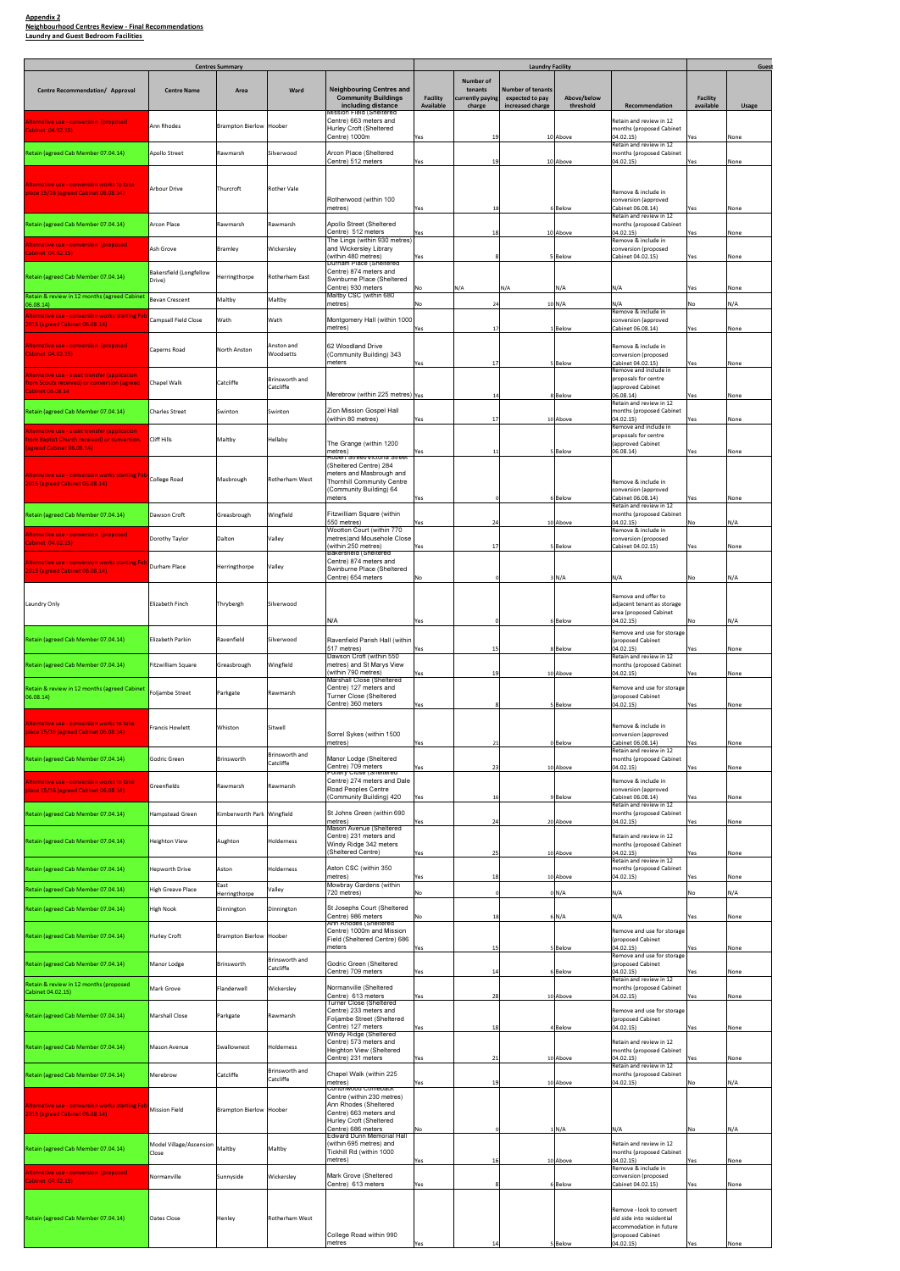| <b>Centres Summary</b>                                                                                                       |                                   |                            |                              |                                                                                                                                | <b>Laundry Facility</b>             |                                                           |                                                                 |                          |                                                                                                       |                       | Guest |
|------------------------------------------------------------------------------------------------------------------------------|-----------------------------------|----------------------------|------------------------------|--------------------------------------------------------------------------------------------------------------------------------|-------------------------------------|-----------------------------------------------------------|-----------------------------------------------------------------|--------------------------|-------------------------------------------------------------------------------------------------------|-----------------------|-------|
| Centre Recommendation/ Approval                                                                                              | <b>Centre Name</b>                | Area                       | Ward                         | Neighbouring Centres and<br><b>Community Buildings</b><br>including distance                                                   | <b>Facility</b><br><b>Available</b> | <b>Number of</b><br>tenants<br>currently paying<br>charge | <b>Number of tenants</b><br>expected to pay<br>increased charge | Above/below<br>threshold | Recommendation                                                                                        | Facility<br>available | Usage |
| Alternative use - conversion (proposed)<br>Cabinet 04.02.15)                                                                 | Ann Rhodes                        | Brampton Bierlow Hoober    |                              | fission Field (Sheltered<br>Centre) 663 meters and<br>Hurley Croft (Sheltered<br>Centre) 1000m                                 | Yes                                 | 19                                                        |                                                                 | 10 Above                 | Retain and review in 12<br>months (proposed Cabinet<br>04.02.15)                                      | 'es                   | None  |
| Retain (agreed Cab Member 07.04.14)                                                                                          | Apollo Street                     | Rawmarsh                   | Silverwood                   | Arcon Place (Sheltered<br>Centre) 512 meters                                                                                   | Yes                                 | 19                                                        |                                                                 | 10 Above                 | Retain and review in 12<br>months (proposed Cabinet<br>04.02.15)                                      | Yes                   | None  |
| Alternative use - conversion works to take<br>place 15/16 (agreed Cabinet 06.08.14)                                          | <b>Arbour Drive</b>               | Thurcroft                  | <b>Rother Vale</b>           | Rotherwood (within 100                                                                                                         |                                     |                                                           |                                                                 |                          | Remove & include in<br>conversion (approved                                                           |                       |       |
| Retain (agreed Cab Member 07.04.14)                                                                                          | Arcon Place                       | Rawmarsh                   | Rawmarsh                     | metres)<br>Apollo Street (Sheltered                                                                                            | Yes                                 | 18                                                        |                                                                 | 6 Below                  | Cabinet 06.08.14)<br>Retain and review in 12<br>months (proposed Cabinet                              | Yes.                  | None  |
| <u>lternative use - conversion (proposed-</u>                                                                                | Ash Grove                         |                            |                              | Centre) 512 meters<br>The Lings (within 930 metres)<br>and Wickersley Library                                                  | Yes                                 | 18                                                        |                                                                 | 10 Above                 | 04.02.15)<br>Remove & include in<br>conversion (proposed                                              | es                    | None  |
| Cabinet 04.02.15)                                                                                                            |                                   | <b>Bramley</b>             | Wickersley                   | (within 480 metres)<br>Durham Place (Sheltered                                                                                 | Yes                                 |                                                           |                                                                 | 5 Below                  | Cabinet 04.02.15)                                                                                     | Yes                   | None  |
| Retain (agreed Cab Member 07.04.14)                                                                                          | Bakersfield (Longfellow<br>Drive) | Herringthorpe              | Rotherham East               | Centre) 874 meters and<br>Swinburne Place (Sheltered<br>Centre) 930 meters                                                     | No                                  | N/A                                                       | N/A                                                             | N/A                      | N/A                                                                                                   | Yes                   | None  |
| Retain & review in 12 months (agreed Cabinet<br>06.08.14)<br><u>lternative use - conversion works starting Fe</u>            | <b>Bevan Crescent</b>             | Maltby                     | Maltby                       | Maltby CSC (within 680<br>metres)                                                                                              | No                                  | 24                                                        |                                                                 | 10 N/A                   | N/A<br>Remove & include in                                                                            | N٥                    | N/A   |
| 015 (agreed Cabinet 06.08.14)                                                                                                | <b>Campsall Field Close</b>       | Wath                       | Wath                         | Montgomery Hall (within 1000<br>metres)                                                                                        | Yes                                 | 17                                                        |                                                                 | 1 Below                  | conversion (approved<br>Cabinet 06.08.14)                                                             | Yes.                  | None  |
| Alternative use - conversion (proposed<br>Cabinet 04.02.15)                                                                  | Caperns Road                      | North Anston               | Anston and<br>Woodsetts      | 62 Woodland Drive<br>(Community Building) 343<br>meters                                                                        | Yes                                 | 17                                                        |                                                                 | 5 Below                  | Remove & include in<br>conversion (proposed<br>Cabinet 04.02.15)<br>Remove and include in             | Yes                   | None  |
| <u> Iternative use - asset transfer (application</u><br>om Scouts received) or conversion (agreed<br><b>Cabinet 06.08.14</b> | Chapel Walk                       | Catcliffe                  | Brinsworth and<br>Catcliffe  | Merebrow (within 225 metres) Yes                                                                                               |                                     | 14                                                        |                                                                 | 8 Below                  | proposals for centre<br>(approved Cabinet<br>06.08.14)                                                | Yes                   | None  |
| Retain (agreed Cab Member 07.04.14)                                                                                          | <b>Charles Street</b>             | Swinton                    | Swinton                      | Zion Mission Gospel Hall<br>(within 80 metres)                                                                                 |                                     | 17                                                        |                                                                 |                          | Retain and review in 12<br>months (proposed Cabinet<br>04.02.15)                                      |                       |       |
| lternative use - asset transfer (application)<br>om Baptist Church received) or conversion.                                  | Cliff Hills                       | Maltby                     | Hellaby                      | The Grange (within 1200                                                                                                        | Yes                                 |                                                           |                                                                 | 10 Above                 | Remove and include in<br>proposals for centre<br>(approved Cabinet                                    | 'es                   | None  |
| agreed Cabinet 06.08.14)                                                                                                     |                                   |                            |                              | metres)<br>Robert Street/Victoria Street<br>(Sheltered Centre) 284                                                             | Yes                                 | 11                                                        |                                                                 | 5 Below                  | 06.08.14)                                                                                             | Yes                   | None  |
| liternative use - conversion works starting Feb College Road<br>2015 (agreed Cabinet 06.08.14)                               |                                   | Masbrough                  | Rotherham West               | meters and Masbrough and<br>Thornhill Community Centre<br>(Community Building) 64                                              |                                     |                                                           |                                                                 |                          | Remove & include in<br>conversion (approved                                                           |                       |       |
| Retain (agreed Cab Member 07.04.14)                                                                                          | Dawson Croft                      | Greasbrough                | Wingfield                    | meters<br>Fitzwilliam Square (within                                                                                           | Yes                                 |                                                           |                                                                 | 6 Below                  | Cabinet 06.08.14)<br>Retain and review in 12<br>months (proposed Cabinet                              | 'es                   | None  |
| sion (proposed)                                                                                                              | Dorothy Taylor                    | Dalton                     | Valley                       | 550 metres)<br>Wootton Court (within 770<br>metres)and Mousehole Close                                                         | Yes                                 | 24                                                        |                                                                 | 10 Above                 | 04.02.15)<br>Remove & include in<br>conversion (proposed                                              | No                    | N/A   |
| abinet 04.02.15)<br>lternative use - conversion works starting Feb Durham Place<br><b>2015 (agreed Cabinet 06.08.14)</b>     |                                   | Herringthorpe              | Valley                       | (within 250 metres)<br>Bakersfield (Sheltered<br>Centre) 874 meters and<br>Swinburne Place (Sheltered<br>Centre) 654 meters    | Yes                                 | 17                                                        |                                                                 | Below                    | Cabinet 04.02.15)                                                                                     | Yes.                  | None  |
|                                                                                                                              |                                   |                            |                              |                                                                                                                                | No                                  |                                                           |                                                                 | 3 N/A                    | N/A<br>Remove and offer to                                                                            | No                    | N/A   |
| Laundry Only                                                                                                                 | Elizabeth Finch                   | Thrybergh                  | Silverwood                   | N/A                                                                                                                            | Yes                                 |                                                           |                                                                 | 6 Below                  | adjacent tenant as storage<br>area (proposed Cabinet<br>04.02.15)                                     |                       | N/A   |
| Retain (agreed Cab Member 07.04.14)                                                                                          | Elizabeth Parkin                  | Ravenfield                 | Silverwood                   | Ravenfield Parish Hall (within<br>517 metres)                                                                                  | Yes                                 | 15                                                        |                                                                 | 8 Below                  | Remove and use for storage<br>(proposed Cabinet<br>04.02.15)                                          |                       | None  |
| Retain (agreed Cab Member 07.04.14)                                                                                          | Fitzwilliam Square                | Greasbrough                | Wingfield                    | Dawson Croft (within 550<br>metres) and St Marys View<br>(within 790 metres)                                                   | Yes                                 | 19                                                        |                                                                 | 10 Above                 | Retain and review in 12<br>months (proposed Cabinet<br>04.02.15)                                      | Yes                   | None  |
| Retain & review in 12 months (agreed Cabinet<br>06.08.14)                                                                    | <b>Foljambe Street</b>            | Parkgate                   | Rawmarsh                     | Marshall Close (Sheltered<br>Centre) 127 meters and<br>Turner Close (Sheltered<br>Centre) 360 meters                           | Yes                                 |                                                           |                                                                 | 5 Below                  | Remove and use for storage<br>(proposed Cabinet<br>04.02.15)                                          | Yes                   | None  |
| Alternative use - conversion works to take<br>lace 15/16 (agreed Cabinet 06.08.14)                                           | Francis Howlett                   | Whiston                    | Sitwell                      | Sorrel Sykes (within 1500                                                                                                      |                                     |                                                           |                                                                 |                          | Remove & include in<br>conversion (approved                                                           |                       |       |
| Retain (agreed Cab Member 07.04.14)                                                                                          | Godric Green                      | Brinsworth                 | Brinsworth and               | metres)<br>Manor Lodge (Sheltered                                                                                              | Yes                                 | 21                                                        |                                                                 | 0 Below                  | Cabinet 06.08.14)<br>Retain and review in 12<br>months (proposed Cabinet                              | Yes                   | None  |
| Alternative use - conversion works to take                                                                                   |                                   |                            | Catcliffe                    | Centre) 709 meters<br>ottery Close (Sheltered<br>Centre) 274 meters and Dale                                                   | Yes                                 | 23                                                        |                                                                 | 10 Above                 | 04.02.15)<br>Remove & include in                                                                      | Yes                   | None  |
| place 15/16 (agreed Cabinet 06.08.14)                                                                                        | Greenfields                       | Rawmarsh                   | Rawmarsh                     | Road Peoples Centre<br>(Community Building) 420                                                                                | Yes                                 | 16                                                        |                                                                 | 9 Below                  | conversion (approved<br>Cabinet 06.08.14)<br>Retain and review in 12                                  | 'es                   | None  |
| Retain (agreed Cab Member 07.04.14)                                                                                          | Hampstead Green                   | Kimberworth Park Wingfield |                              | St Johns Green (within 690<br>metres)<br>Mason Avenue (Sheltered                                                               | Yes                                 | 24                                                        |                                                                 | 20 Above                 | months (proposed Cabinet<br>04.02.15)                                                                 | 'es                   | None  |
| Retain (agreed Cab Member 07.04.14)                                                                                          | Heighton View                     | Aughton                    | Holderness                   | Centre) 231 meters and<br>Windy Ridge 342 meters<br>(Sheltered Centre)                                                         | Yes                                 | 25                                                        |                                                                 | 10 Above                 | Retain and review in 12<br>months (proposed Cabinet<br>04.02.15)                                      | Yes                   | None  |
| Retain (agreed Cab Member 07.04.14)                                                                                          | Hepworth Drive                    | Aston                      | Holderness                   | Aston CSC (within 350<br>metres)                                                                                               | Yes                                 | 18                                                        |                                                                 | 10 Above                 | Retain and review in 12<br>months (proposed Cabinet<br>04.02.15)                                      | Yes                   | None  |
| Retain (agreed Cab Member 07.04.14)                                                                                          | High Greave Place                 | East<br>Herringthorpe      | Valley                       | Mowbray Gardens (within<br>720 metres)                                                                                         | No                                  |                                                           |                                                                 | 0 N/A                    | N/A                                                                                                   |                       | N/A   |
| Retain (agreed Cab Member 07.04.14)                                                                                          | High Nook                         | Dinnington                 | Dinnington                   | St Josephs Court (Sheltered<br>Centre) 986 meters                                                                              | No                                  | 18                                                        |                                                                 | 6N/A                     | N/A                                                                                                   | Yes                   | None  |
| Retain (agreed Cab Member 07.04.14)                                                                                          | Hurley Croft                      | Brampton Bierlow Hoober    |                              | Ann Rhodes (Sheltered<br>Centre) 1000m and Mission<br>Field (Sheltered Centre) 686                                             |                                     |                                                           |                                                                 |                          | Remove and use for storage<br>(proposed Cabinet                                                       |                       |       |
| Retain (agreed Cab Member 07.04.14)                                                                                          | Manor Lodge                       | Brinsworth                 | Brinsworth and<br>Catcliffe  | meters<br>Godric Green (Sheltered                                                                                              | Yes                                 | 15                                                        |                                                                 | Below                    | 04.02.15)<br>Remove and use for storage<br>proposed Cabinet                                           | Yes                   | None  |
| Retain & review in 12 months (proposed<br>Cabinet 04.02.15)                                                                  | Mark Grove                        | Flanderwell                | Wickersley                   | Centre) 709 meters<br>Normanville (Sheltered                                                                                   | Yes                                 | 14                                                        |                                                                 | 6 Below                  | 04.02.15)<br>Retain and review in 12<br>months (proposed Cabinet                                      | Yes                   | None  |
| Retain (agreed Cab Member 07.04.14)                                                                                          | Marshall Close                    | Parkgate                   | Rawmarsh                     | Centre) 613 meters<br>Turner Close (Sheltered<br>Centre) 233 meters and<br>Foljambe Street (Sheltered                          | Yes                                 | 28                                                        |                                                                 | 10 Above                 | 04.02.15)<br>Remove and use for storage<br>(proposed Cabinet                                          | Yes                   | None  |
|                                                                                                                              |                                   |                            |                              | Centre) 127 meters<br>Windy Ridge (Sheltered<br>Centre) 573 meters and                                                         | Yes                                 | 18                                                        |                                                                 | 4 Below                  | 04.02.15)<br>Retain and review in 12                                                                  | Yes                   | None  |
| Retain (agreed Cab Member 07.04.14)                                                                                          | Mason Avenue                      | Swallownest                | Holderness<br>Brinsworth and | Heighton View (Sheltered<br>Centre) 231 meters                                                                                 | Yes                                 | 21                                                        |                                                                 | 10 Above                 | months (proposed Cabinet<br>04.02.15)<br>Retain and review in 12                                      | Yes                   | None  |
| Retain (agreed Cab Member 07.04.14)                                                                                          | Merebrow                          | Catcliffe                  | Catcliffe                    | Chapel Walk (within 225<br>metres)<br>Cortonwood Comeback                                                                      | Yes                                 | 19                                                        |                                                                 | 10 Above                 | months (proposed Cabinet<br>04.02.15)                                                                 | No                    | N/A   |
| Alternative use - conversion works starting Feb Mission Field<br>2015 (agreed Cabinet 06.08.14)                              |                                   | Brampton Bierlow Hoober    |                              | Centre (within 230 metres)<br>Ann Rhodes (Sheltered<br>Centre) 663 meters and<br>Hurley Croft (Sheltered<br>Centre) 686 meters |                                     |                                                           |                                                                 | 1 N/A                    |                                                                                                       |                       |       |
| Retain (agreed Cab Member 07.04.14)                                                                                          | Model Village/Ascension<br>Close  | Maltby                     | Maltby                       | Edward Dunn Memorial Hall<br>(within 695 metres) and<br>Tickhill Rd (within 1000                                               | No                                  |                                                           |                                                                 |                          | N/A<br>Retain and review in 12<br>months (proposed Cabinet                                            |                       | N/A   |
| Alternative use - conversion (proposed                                                                                       |                                   |                            |                              | metres)<br>Mark Grove (Sheltered                                                                                               | Yes                                 | 16                                                        |                                                                 | 10 Above                 | 04.02.15)<br>Remove & include in                                                                      | Yes                   | None  |
| Cabinet 04.02.15)                                                                                                            | Normanville                       | Sunnyside                  | Wickersley                   | Centre) 613 meters                                                                                                             | Yes                                 |                                                           |                                                                 | 6 Below                  | conversion (proposed<br>Cabinet 04.02.15)                                                             | Yes                   | None  |
| Retain (agreed Cab Member 07.04.14)                                                                                          | Oates Close                       | Henley                     | Rotherham West               | College Road within 990                                                                                                        |                                     |                                                           |                                                                 |                          | Remove - look to convert<br>old side into residential<br>accommodation in future<br>(proposed Cabinet |                       |       |
|                                                                                                                              |                                   |                            |                              | metres                                                                                                                         | Yes                                 | 14                                                        |                                                                 | 5 Below                  | 04.02.15)                                                                                             | Yes                   | None  |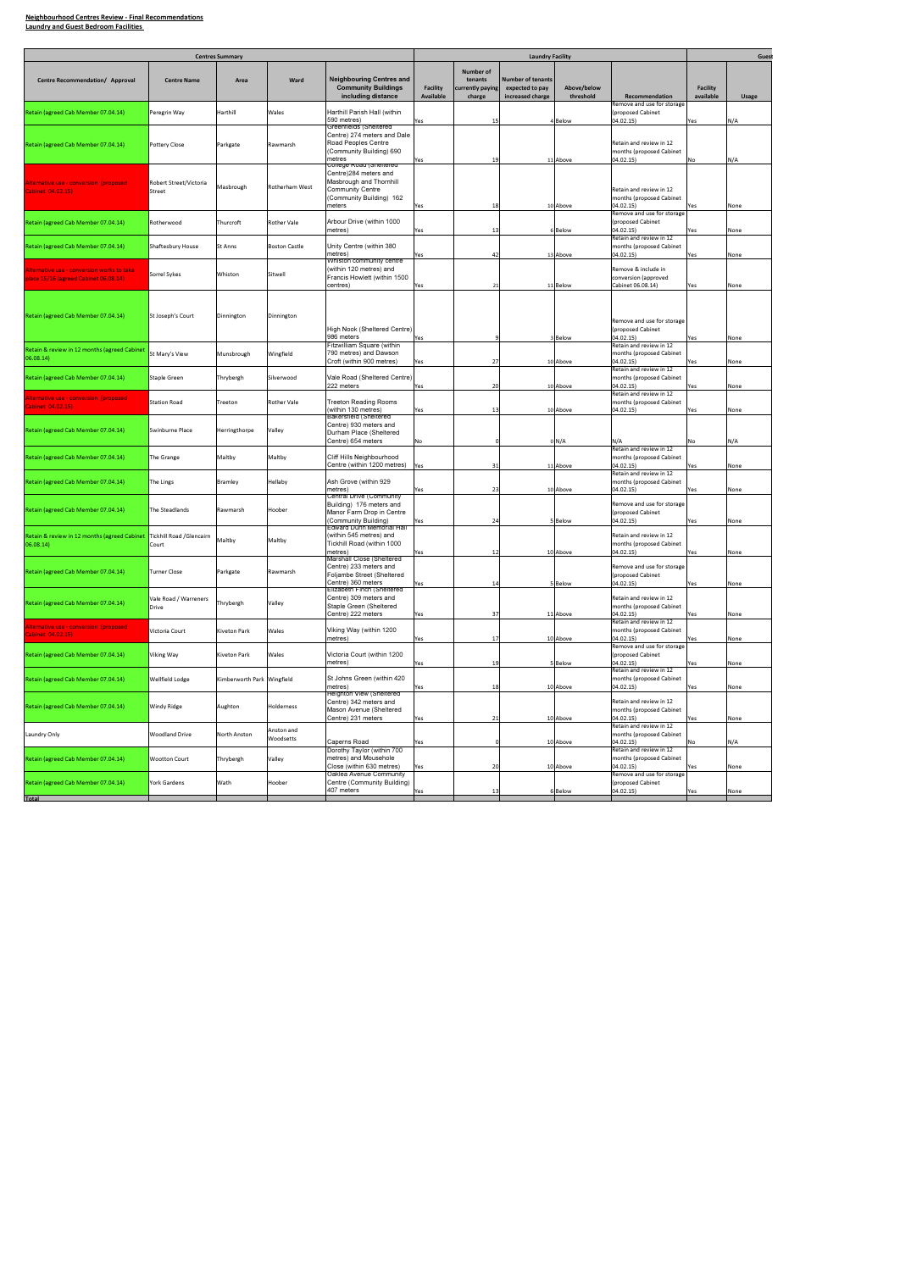|                                                                                           |                                   | <b>Centres Summary</b>     |                         |                                                                                                                                              |                              |                                                    | <b>Laundry Facility</b>                                         |                          |                                                                  |                       | Gues  |
|-------------------------------------------------------------------------------------------|-----------------------------------|----------------------------|-------------------------|----------------------------------------------------------------------------------------------------------------------------------------------|------------------------------|----------------------------------------------------|-----------------------------------------------------------------|--------------------------|------------------------------------------------------------------|-----------------------|-------|
|                                                                                           |                                   |                            |                         |                                                                                                                                              |                              |                                                    |                                                                 |                          |                                                                  |                       |       |
| Centre Recommendation/ Approval                                                           | <b>Centre Name</b>                | Area                       | Ward                    | <b>Neighbouring Centres and</b><br><b>Community Buildings</b><br>including distance                                                          | <b>Facility</b><br>Available | Number of<br>tenants<br>currently paying<br>charge | <b>Number of tenants</b><br>expected to pay<br>increased charge | Above/below<br>threshold | Recommendation                                                   | Facility<br>available | Usage |
| Retain (agreed Cab Member 07.04.14)                                                       | Peregrin Way                      | Harthill                   | Wales                   | Harthill Parish Hall (within<br>590 metres)                                                                                                  | Yes                          | 15                                                 |                                                                 | 4 Below                  | Remove and use for storage<br>(proposed Cabinet<br>04.02.15)     | Yes                   | N/A   |
| Retain (agreed Cab Member 07.04.14)                                                       | Pottery Close                     | Parkgate                   | Rawmarsh                | Greenfields (Sheltered<br>Centre) 274 meters and Dale<br>Road Peoples Centre<br>(Community Building) 690<br>metres                           | Yes                          | 19                                                 |                                                                 | 11 Above                 | Retain and review in 12<br>months (proposed Cabinet<br>04.02.15) | No                    | N/A   |
| Iternative use - conversion (proposed<br>abinet 04.02.15)                                 | Robert Street/Victoria<br>Street  | Masbrough                  | Rotherham West          | College Road (Sheltered<br>Centre)284 meters and<br>Masbrough and Thornhill<br><b>Community Centre</b><br>(Community Building) 162<br>meters | Yes                          | 18                                                 |                                                                 | 10 Above                 | Retain and review in 12<br>months (proposed Cabinet<br>04.02.15) | Yes                   | None  |
| Retain (agreed Cab Member 07.04.14)                                                       | Rotherwood                        | Thurcroft                  | Rother Vale             | Arbour Drive (within 1000<br>metres)                                                                                                         | Yes                          | 13                                                 |                                                                 | 6 Below                  | Remove and use for storage<br>(proposed Cabinet<br>04.02.15)     | Yes                   | None  |
| Retain (agreed Cab Member 07.04.14)                                                       | Shaftesbury House                 | St Anns                    | <b>Boston Castle</b>    | Unity Centre (within 380<br>metres)                                                                                                          | Yes                          | 42                                                 |                                                                 | 13 Above                 | Retain and review in 12<br>months (proposed Cabinet<br>04.02.15) | Yes                   | None  |
| <u>lternative use - conversion works to take.</u><br>Iace 15/16 (agreed Cabinet 06.08.14) | Sorrel Sykes                      | Whiston                    | Sitwell                 | Whiston community centre<br>(within 120 metres) and<br>Francis Howlett (within 1500<br>centres)                                              | Yes                          | 21                                                 |                                                                 | 11 Below                 | Remove & include in<br>conversion (approved<br>Cabinet 06.08.14) | Yes                   | None  |
| Retain (agreed Cab Member 07.04.14)                                                       | St Joseph's Court                 | Dinnington                 | Dinnington              | High Nook (Sheltered Centre)<br>986 meters                                                                                                   | Yes                          |                                                    |                                                                 | 3 Below                  | Remove and use for storage<br>(proposed Cabinet<br>04.02.15)     | Yes                   | None  |
| Retain & review in 12 months (agreed Cabinet<br>06.08.14)                                 | St Mary's View                    | Munsbrough                 | Wingfield               | Fitzwilliam Square (within<br>790 metres) and Dawson<br>Croft (within 900 metres)                                                            | Yes                          | 27                                                 |                                                                 | 10 Above                 | Retain and review in 12<br>months (proposed Cabinet<br>04.02.15) | Yes                   | None  |
| Retain (agreed Cab Member 07.04.14)                                                       | Staple Green                      | Thrybergh                  | Silverwood              | Vale Road (Sheltered Centre)<br>222 meters                                                                                                   | Yes                          | 20                                                 |                                                                 | 10 Above                 | Retain and review in 12<br>months (proposed Cabinet<br>04.02.15) | Yes                   | None  |
| <u>lternative use - conversion (proposed-</u><br>abinet 04.02.15)                         | <b>Station Road</b>               | Treeton                    | <b>Rother Vale</b>      | <b>Treeton Reading Rooms</b><br>(within 130 metres)                                                                                          | Yes                          | 13                                                 |                                                                 | 10 Above                 | Retain and review in 12<br>months (proposed Cabinet<br>04.02.15) | Yes                   | None  |
| Retain (agreed Cab Member 07.04.14)                                                       | Swinburne Place                   | Herringthorpe              | Valley                  | <b>Bakersfield (Sheltered</b><br>Centre) 930 meters and<br>Durham Place (Sheltered<br>Centre) 654 meters                                     | No                           |                                                    |                                                                 | 0 N/A                    | N/A                                                              | No                    | N/A   |
| Retain (agreed Cab Member 07.04.14)                                                       | The Grange                        | Maltby                     | Maltby                  | Cliff Hills Neighbourhood<br>Centre (within 1200 metres)                                                                                     | Yes                          | 31                                                 |                                                                 | 11 Above                 | Retain and review in 12<br>months (proposed Cabinet<br>04.02.15) | Yes                   | None  |
| Retain (agreed Cab Member 07.04.14)                                                       | The Lings                         | <b>Bramley</b>             | Hellaby                 | Ash Grove (within 929<br>metres)                                                                                                             | Yes                          | 23                                                 |                                                                 | 10 Above                 | Retain and review in 12<br>months (proposed Cabinet<br>04.02.15) | Yes                   | None  |
| Retain (agreed Cab Member 07.04.14)                                                       | The Steadlands                    | Rawmarsh                   | Hoober                  | Central Drive (Community<br>Building) 176 meters and<br>Manor Farm Drop in Centre<br>(Community Building)                                    | Yes                          | 24                                                 |                                                                 | 5 Below                  | Remove and use for storage<br>(proposed Cabinet<br>04.02.15)     | Yes                   | None  |
| Retain & review in 12 months (agreed Cabinet<br>06.08.14)                                 | Tickhill Road /Glencairn<br>Court | Maltby                     | Maltby                  | <b>Edward Dunn Memorial Hall</b><br>(within 545 metres) and<br>Tickhill Road (within 1000<br>metres)                                         | Yes                          | 12                                                 |                                                                 | 10 Above                 | Retain and review in 12<br>months (proposed Cabinet<br>04.02.15) | Yes                   | None  |
| Retain (agreed Cab Member 07.04.14)                                                       | Turner Close                      | Parkgate                   | Rawmarsh                | Marshall Close (Sheltered<br>Centre) 233 meters and<br>Foljambe Street (Sheltered<br>Centre) 360 meters                                      | Yes                          | 14                                                 |                                                                 | 5 Below                  | Remove and use for storage<br>(proposed Cabinet<br>04.02.15)     | Yes                   | None  |
| Retain (agreed Cab Member 07.04.14)                                                       | Vale Road / Warreners<br>Drive    | Thrybergh                  | Valley                  | Elizabeth Finch (Sheltered<br>Centre) 309 meters and<br>Staple Green (Sheltered<br>Centre) 222 meters                                        | Yes                          | 37                                                 |                                                                 | 11 Above                 | Retain and review in 12<br>months (proposed Cabinet<br>04.02.15) | Yes                   | None  |
| Iternative use - conversion (proposed<br>abinet 04.02.15)                                 | Victoria Court                    | Kiveton Park               | Wales                   | Viking Way (within 1200<br>metres)                                                                                                           | Yes                          | 17                                                 |                                                                 | 10 Above                 | Retain and review in 12<br>months (proposed Cabinet<br>04.02.15) | /es                   | None  |
| Retain (agreed Cab Member 07.04.14)                                                       | Viking Way                        | Kiveton Park               | Wales                   | Victoria Court (within 1200<br>metres)                                                                                                       | Yes                          | 19                                                 |                                                                 | 5 Below                  | Remove and use for storage<br>(proposed Cabinet<br>04.02.15)     | Yes                   | None  |
| Retain (agreed Cab Member 07.04.14)                                                       | Wellfield Lodge                   | Kimberworth Park Wingfield |                         | St Johns Green (within 420<br>metres)                                                                                                        | Yes                          | 18                                                 |                                                                 | 10 Above                 | Retain and review in 12<br>months (proposed Cabinet<br>04.02.15) | Yes                   | None  |
| Retain (agreed Cab Member 07.04.14)                                                       | <b>Windy Ridge</b>                | Aughton                    | Holderness              | Heighton View (Sheltered<br>Centre) 342 meters and<br>Mason Avenue (Sheltered<br>Centre) 231 meters                                          | Yes                          | 21                                                 |                                                                 | 10 Above                 | Retain and review in 12<br>months (proposed Cabinet<br>04.02.15) | Yes                   | None  |
| Laundry Only                                                                              | <b>Woodland Drive</b>             | North Anston               | Anston and<br>Woodsetts | Caperns Road                                                                                                                                 | Yes                          |                                                    |                                                                 | 10 Above                 | Retain and review in 12<br>months (proposed Cabinet<br>04.02.15) | N٥                    | N/A   |
| Retain (agreed Cab Member 07.04.14)                                                       | <b>Wootton Court</b>              | Thrybergh                  | Valley                  | Dorothy Taylor (within 700<br>metres) and Mousehole<br>Close (within 630 metres)                                                             | Yes                          | 20                                                 |                                                                 | 10 Above                 | Retain and review in 12<br>months (proposed Cabinet<br>04.02.15) | Yes                   | None  |
| Retain (agreed Cab Member 07.04.14)                                                       | York Gardens                      | Wath                       | Hoober                  | Oaklea Avenue Community<br>Centre (Community Building)<br>407 meters                                                                         | Yes                          | 13                                                 |                                                                 | 6 Below                  | Remove and use for storage<br>(proposed Cabinet<br>04.02.15)     | Yes                   | None  |
| Total                                                                                     |                                   |                            |                         |                                                                                                                                              |                              |                                                    |                                                                 |                          |                                                                  |                       |       |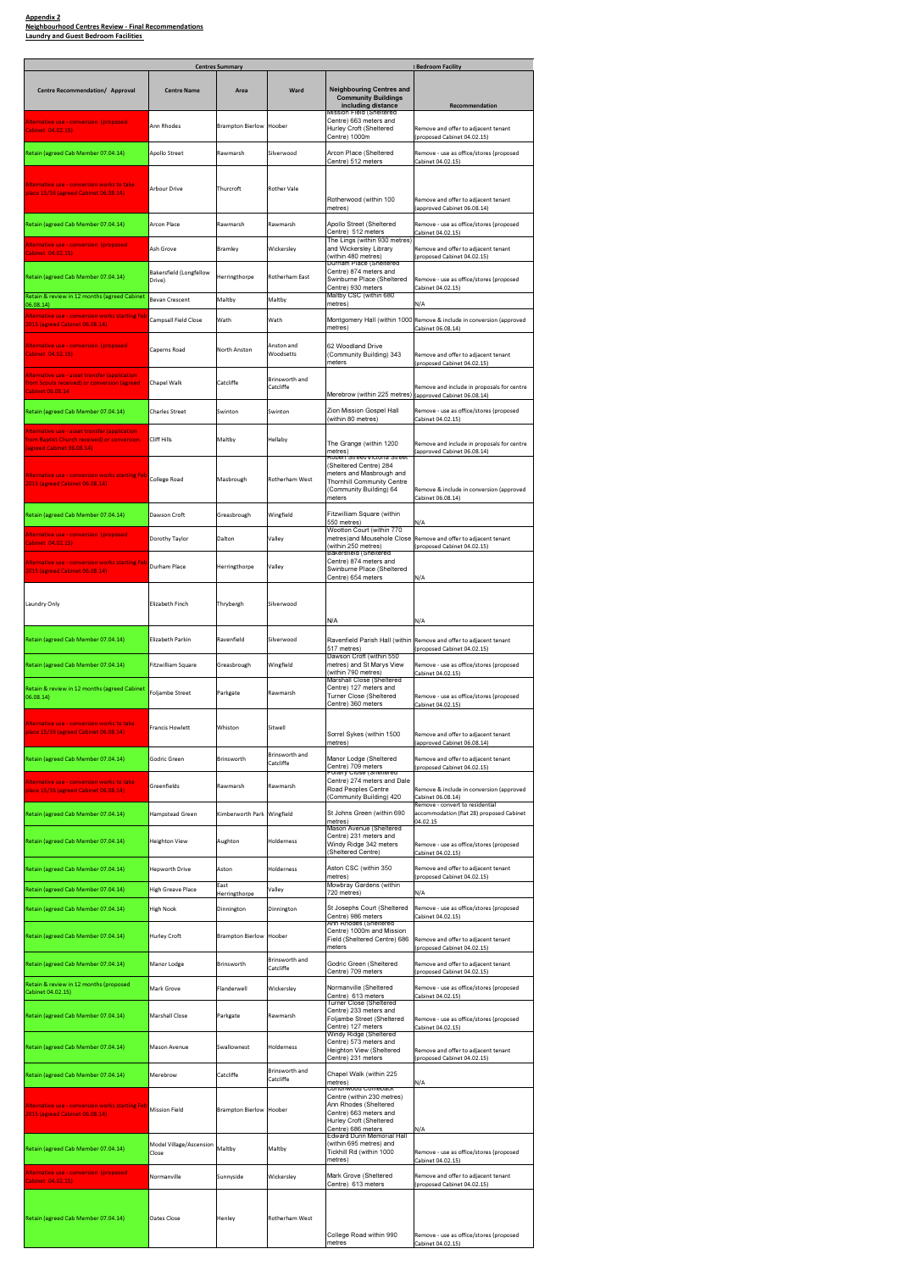|                                                                                                                                     | <b>Bedroom Facility</b>          |                                |                             |                                                                                                                                |                                                                                                   |  |  |
|-------------------------------------------------------------------------------------------------------------------------------------|----------------------------------|--------------------------------|-----------------------------|--------------------------------------------------------------------------------------------------------------------------------|---------------------------------------------------------------------------------------------------|--|--|
| Centre Recommendation/ Approval                                                                                                     | <b>Centre Name</b>               | Area                           | Ward                        | <b>Neighbouring Centres and</b><br><b>Community Buildings</b><br>including distance                                            | Recommendation                                                                                    |  |  |
| Alternative use - conversion (proposed)<br>Cabinet 04.02.15)                                                                        | Ann Rhodes                       | <b>Brampton Bierlow Hoober</b> |                             | Mission Field (Sheltered<br>Centre) 663 meters and<br>Hurley Croft (Sheltered                                                  | Remove and offer to adjacent tenant                                                               |  |  |
| Retain (agreed Cab Member 07.04.14)                                                                                                 | Apollo Street                    | Rawmarsh                       | Silverwood                  | Centre) 1000m<br>Arcon Place (Sheltered                                                                                        | (proposed Cabinet 04.02.15)<br>Remove - use as office/stores (proposed                            |  |  |
| <u> Alternative use - conversion works to take</u><br>place 15/16 (agreed Cabinet 06.08.14)                                         | Arbour Drive                     | Thurcroft                      | <b>Rother Vale</b>          | Centre) 512 meters<br>Rotherwood (within 100                                                                                   | Cabinet 04.02.15)<br>Remove and offer to adjacent tenant                                          |  |  |
| Retain (agreed Cab Member 07.04.14)                                                                                                 | Arcon Place                      | Rawmarsh                       | Rawmarsh                    | metres)<br>Apollo Street (Sheltered                                                                                            | (approved Cabinet 06.08.14)<br>Remove - use as office/stores (proposed                            |  |  |
| Alternative use - conversion (proposed                                                                                              | Ash Grove                        | <b>Bramley</b>                 | Wickersley                  | Centre) 512 meters<br>The Lings (within 930 metres)<br>and Wickersley Library                                                  | Cabinet 04.02.15)<br>Remove and offer to adjacent tenant                                          |  |  |
| Cabinet 04.02.15)<br>Retain (agreed Cab Member 07.04.14)                                                                            | Bakersfield (Longfellow          | Herringthorpe                  | Rotherham East              | (within 480 metres)<br>Durham Place (Sheltered<br>Centre) 874 meters and                                                       | (proposed Cabinet 04.02.15)                                                                       |  |  |
| Retain & review in 12 months (agreed Cabinet                                                                                        | Drive)<br><b>Bevan Crescent</b>  | Maltby                         | Maltby                      | Swinburne Place (Sheltered<br>Centre) 930 meters<br>Maltby CSC (within 680<br>metres)                                          | Remove - use as office/stores (proposed<br>Cabinet 04.02.15)                                      |  |  |
| 06.08.14)<br><u> Alternative use - conversion works starting Feb</u><br>2015 (agreed Cabinet 06.08.14)                              | Campsall Field Close             | Wath                           | Wath                        | metres)                                                                                                                        | N/A<br>Montgomery Hall (within 1000 Remove & include in conversion (approved<br>Cabinet 06.08.14) |  |  |
| Alternative use - conversion (proposed<br>Cabinet 04.02.15)                                                                         | Caperns Road                     | North Anston                   | Anston and<br>Woodsetts     | 62 Woodland Drive<br>(Community Building) 343<br>meters                                                                        | Remove and offer to adjacent tenant<br>(proposed Cabinet 04.02.15)                                |  |  |
| Alternative use - asset transfer (application)<br>from Scouts received) or conversion (agreed<br><b>Cabinet 06.08.14</b>            | Chapel Walk                      | Catcliffe                      | Brinsworth and<br>Catcliffe | Merebrow (within 225 metres)                                                                                                   | Remove and include in proposals for centre<br>(approved Cabinet 06.08.14)                         |  |  |
| Retain (agreed Cab Member 07.04.14)                                                                                                 | <b>Charles Street</b>            | Swinton                        | Swinton                     | Zion Mission Gospel Hall<br>(within 80 metres)                                                                                 | Remove - use as office/stores (proposed<br>Cabinet 04.02.15)                                      |  |  |
| <u> Alternative use - asset transfer (application </u><br>from Baptist Church received) or conversion.<br>(agreed Cabinet 06.08.14) | Cliff Hills                      | Maltby                         | Hellaby                     | The Grange (within 1200<br>metres)<br>Robert Street/Victoria Street                                                            | Remove and include in proposals for centre<br>(approved Cabinet 06.08.14)                         |  |  |
| Alternative use - conversion works starting Feb<br>2015 (agreed Cabinet 06.08.14)                                                   | College Road                     | Masbrough                      | Rotherham West              | (Sheltered Centre) 284<br>meters and Masbrough and<br><b>Thornhill Community Centre</b><br>(Community Building) 64<br>meters   | Remove & include in conversion (approved<br>Cabinet 06.08.14)                                     |  |  |
| Retain (agreed Cab Member 07.04.14)                                                                                                 | Dawson Croft                     | Greasbrough                    | Wingfield                   | Fitzwilliam Square (within<br>550 metres)                                                                                      | N/A                                                                                               |  |  |
| Cabinet 04.02.15)                                                                                                                   | Dorothy Taylor                   | Dalton                         | Valley                      | Wootton Court (within 770<br>(within 250 metres)                                                                               | metres)and Mousehole Close Remove and offer to adjacent tenant<br>(proposed Cabinet 04.02.15)     |  |  |
| Alternative use - conversion works starting Feb<br>2015 (agreed Cabinet 06.08.14)                                                   | Durham Place                     | Herringthorpe                  | Valley                      | <b>Bakersfield (Sheltered</b><br>Centre) 874 meters and<br>Swinburne Place (Sheltered<br>Centre) 654 meters                    | N/A                                                                                               |  |  |
| Laundry Only                                                                                                                        | Elizabeth Finch                  | Thrybergh                      | Silverwood                  | N/A                                                                                                                            | N/A                                                                                               |  |  |
| Retain (agreed Cab Member 07.04.14)                                                                                                 | <b>Elizabeth Parkin</b>          | Ravenfield                     | Silverwood                  | 517 metres)                                                                                                                    | Ravenfield Parish Hall (within Remove and offer to adjacent tenant<br>(proposed Cabinet 04.02.15) |  |  |
| Retain (agreed Cab Member 07.04.14)                                                                                                 | Fitzwilliam Square               | Greasbrough                    | Wingfield                   | Dawson Croft (within 550<br>metres) and St Marys View<br>(within 790 metres)                                                   | Remove - use as office/stores (proposed<br>Cabinet 04.02.15)                                      |  |  |
| Retain & review in 12 months (agreed Cabinet<br>06.08.14)                                                                           | Foljambe Street                  | Parkgate                       | Rawmarsh                    | Marshall Close (Sheltered<br>Centre) 127 meters and<br>Turner Close (Sheltered<br>Centre) 360 meters                           | Remove - use as office/stores (proposed<br>Cabinet 04.02.15)                                      |  |  |
| <u> Alternative use - conversion works to take</u><br>place 15/16 (agreed Cabinet 06.08.14)                                         | Francis Howlett                  | Whiston                        | Sitwell                     | Sorrel Sykes (within 1500<br>metres)                                                                                           | Remove and offer to adjacent tenant<br>(approved Cabinet 06.08.14)                                |  |  |
| Retain (agreed Cab Member 07.04.14)                                                                                                 | Godric Green                     | Brinsworth                     | Brinsworth and<br>Catcliffe | Manor Lodge (Sheltered<br>Centre) 709 meters<br>Pottery Close (Sheltered                                                       | Remove and offer to adjacent tenant<br>(proposed Cabinet 04.02.15)                                |  |  |
| <u> Alternative use - conversion works to take</u><br>place 15/16 (agreed Cabinet 06.08.14)                                         | Greenfields                      | Rawmarsh                       | Rawmarsh                    | Centre) 274 meters and Dale<br>Road Peoples Centre<br>(Community Building) 420                                                 | Remove & include in conversion (approved<br>Cabinet 06.08.14)                                     |  |  |
| Retain (agreed Cab Member 07.04.14)                                                                                                 | <b>Hampstead Green</b>           | Kimberworth Park Wingfield     |                             | St Johns Green (within 690<br>metres)                                                                                          | Remove - convert to residential<br>accommodation (flat 28) proposed Cabinet<br>04.02.15           |  |  |
| Retain (agreed Cab Member 07.04.14)                                                                                                 | Heighton View                    | Aughton                        | Holderness                  | Mason Avenue (Sheltered<br>Centre) 231 meters and<br>Windy Ridge 342 meters<br>(Sheltered Centre)                              | Remove - use as office/stores (proposed<br>Cabinet 04.02.15)                                      |  |  |
| Retain (agreed Cab Member 07.04.14)                                                                                                 | <b>Hepworth Drive</b>            | Aston                          | Holderness                  | Aston CSC (within 350<br>metres)                                                                                               | Remove and offer to adjacent tenant<br>(proposed Cabinet 04.02.15)                                |  |  |
| Retain (agreed Cab Member 07.04.14)                                                                                                 | High Greave Place                | East<br>Herringthorpe          | Valley                      | Mowbray Gardens (within<br>720 metres)                                                                                         | N/A                                                                                               |  |  |
| Retain (agreed Cab Member 07.04.14)                                                                                                 | High Nook                        | Dinnington                     | Dinnington                  | St Josephs Court (Sheltered<br>Centre) 986 meters<br>Ann Rhodes (Sheltered                                                     | Remove - use as office/stores (proposed<br>Cabinet 04.02.15)                                      |  |  |
| Retain (agreed Cab Member 07.04.14)                                                                                                 | <b>Hurley Croft</b>              | <b>Brampton Bierlow Hoober</b> |                             | Centre) 1000m and Mission<br>Field (Sheltered Centre) 686<br>meters                                                            | Remove and offer to adjacent tenant<br>(proposed Cabinet 04.02.15)                                |  |  |
| Retain (agreed Cab Member 07.04.14)                                                                                                 | Manor Lodge                      | Brinsworth                     | Brinsworth and<br>Catcliffe | Godric Green (Sheltered<br>Centre) 709 meters                                                                                  | Remove and offer to adjacent tenant<br>(proposed Cabinet 04.02.15)                                |  |  |
| Retain & review in 12 months (proposed<br>Cabinet 04.02.15)                                                                         | Mark Grove                       | Flanderwell                    | Wickersley                  | Normanville (Sheltered<br>Centre) 613 meters<br><b>Turner Close (Sheltered</b>                                                 | Remove - use as office/stores (proposed<br>Cabinet 04.02.15)                                      |  |  |
| Retain (agreed Cab Member 07.04.14)                                                                                                 | Marshall Close                   | Parkgate                       | Rawmarsh                    | Centre) 233 meters and<br>Foljambe Street (Sheltered<br>Centre) 127 meters<br>Windy Ridge (Sheltered                           | Remove - use as office/stores (proposed<br>Cabinet 04.02.15)                                      |  |  |
| Retain (agreed Cab Member 07.04.14)                                                                                                 | <b>Mason Avenue</b>              | Swallownest                    | Holderness                  | Centre) 573 meters and<br>Heighton View (Sheltered<br>Centre) 231 meters                                                       | Remove and offer to adjacent tenant<br>(proposed Cabinet 04.02.15)                                |  |  |
| Retain (agreed Cab Member 07.04.14)                                                                                                 | Merebrow                         | Catcliffe                      | Brinsworth and<br>Catcliffe | Chapel Walk (within 225<br>metres)<br>Cortonwood Comeback                                                                      | N/A                                                                                               |  |  |
| Alternative use - conversion works starting Feb<br>2015 (agreed Cabinet 06.08.14)                                                   | Mission Field                    | <b>Brampton Bierlow Hoober</b> |                             | Centre (within 230 metres)<br>Ann Rhodes (Sheltered<br>Centre) 663 meters and<br>Hurley Croft (Sheltered<br>Centre) 686 meters | N/A                                                                                               |  |  |
| Retain (agreed Cab Member 07.04.14)                                                                                                 | Model Village/Ascension<br>Close |                                | Maltby                      | <b>Edward Dunn Memorial Hall</b><br>(within 695 metres) and<br>Tickhill Rd (within 1000<br>metres)                             | Remove - use as office/stores (proposed<br>Cabinet 04.02.15)                                      |  |  |
| Alternative use - conversion (proposed<br>Cabinet 04.02.15)                                                                         | Normanville                      | Sunnyside                      | Wickersley                  | Mark Grove (Sheltered<br>Centre) 613 meters                                                                                    | Remove and offer to adjacent tenant<br>(proposed Cabinet 04.02.15)                                |  |  |
| Retain (agreed Cab Member 07.04.14)                                                                                                 | Oates Close                      | Henley                         | Rotherham West              | College Road within 990<br>metres                                                                                              | Remove - use as office/stores (proposed<br>Cabinet 04.02.15)                                      |  |  |